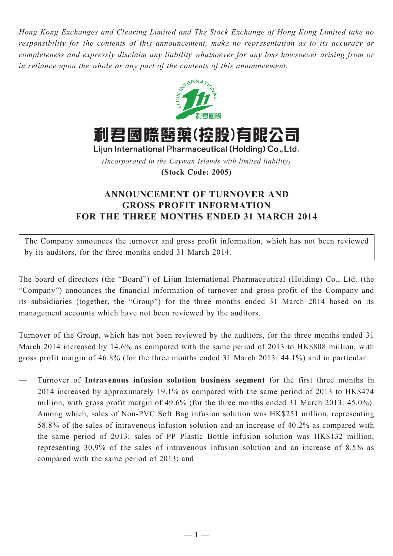*Hong Kong Exchanges and Clearing Limited and The Stock Exchange of Hong Kong Limited take no responsibility for the contents of this announcement, make no representation as to its accuracy or completeness and expressly disclaim any liability whatsoever for any loss howsoever arising from or in reliance upon the whole or any part of the contents of this announcement.*



利君國際醫藥(控股)有限公司

Lijun International Pharmaceutical (Holding) Co., Ltd. *(Incorporated in the Cayman Islands with limited liability)*

**(Stock Code: 2005)**

## **ANNOUNCEMENT OF TURNOVER AND GROSS PROFIT INFORMATION FOR THE THREE MONTHS ENDED 31 MARCH 2014**

The Company announces the turnover and gross profit information, which has not been reviewed by its auditors, for the three months ended 31 March 2014.

The board of directors (the "Board") of Lijun International Pharmaceutical (Holding) Co., Ltd. (the "Company") announces the financial information of turnover and gross profit of the Company and its subsidiaries (together, the "Group") for the three months ended 31 March 2014 based on its management accounts which have not been reviewed by the auditors.

Turnover of the Group, which has not been reviewed by the auditors, for the three months ended 31 March 2014 increased by 14.6% as compared with the same period of 2013 to HK\$808 million, with gross profit margin of 46.8% (for the three months ended 31 March 2013: 44.1%) and in particular:

— Turnover of **Intravenous infusion solution business segment** for the first three months in 2014 increased by approximately 19.1% as compared with the same period of 2013 to HK\$474 million, with gross profit margin of 49.6% (for the three months ended 31 March 2013: 45.0%). Among which, sales of Non-PVC Soft Bag infusion solution was HK\$251 million, representing 58.8% of the sales of intravenous infusion solution and an increase of 40.2% as compared with the same period of 2013; sales of PP Plastic Bottle infusion solution was HK\$132 million, representing 30.9% of the sales of intravenous infusion solution and an increase of 8.5% as compared with the same period of 2013; and